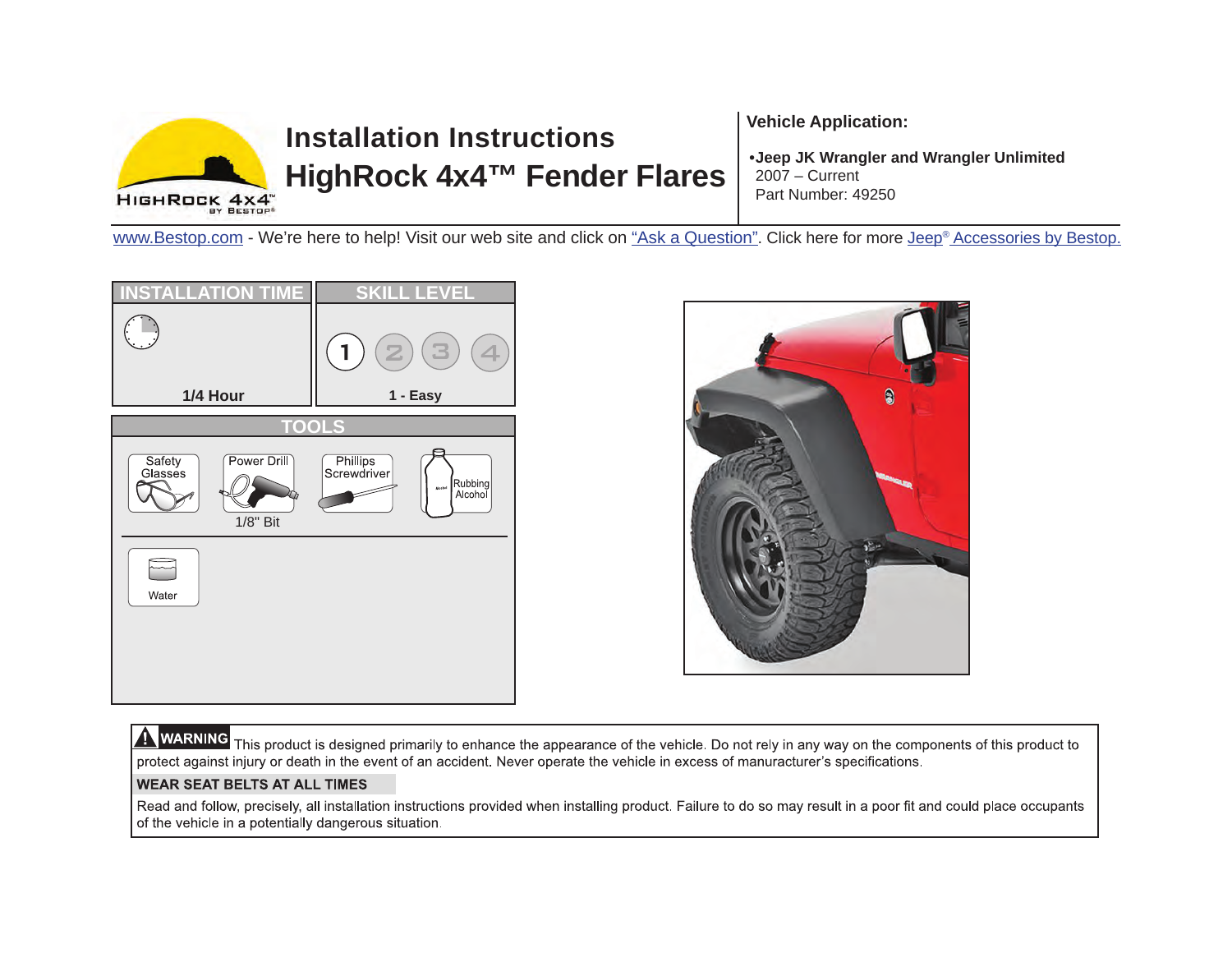

# **Installation InstructionsHighRock 4x4™ Fender Flares**

**Vehicle Application:** 

**• Jeep JK Wrangler and Wrangler Unlimited** 2007 – CurrentPart Number: 49250

[www.Bestop.com -](www.bestop.com) We're here to help! Visit our web site and click on ["Ask a Question".](www.bestop.com/index.php?a=2) Click here for more [Jeep® Accessories by Bestop.](www.bestop.com/index.php?a=20&o=jeep-accessories)





WARNING This product is designed primarily to enhance the appearance of the vehicle. Do not rely in any way on the components of this product to protect against injury or death in the event of an accident. Never operate the vehicle in excess of manuracturer's specifications.

#### **WEAR SEAT BELTS AT ALL TIMES**

Read and follow, precisely, all installation instructions provided when installing product. Failure to do so may result in a poor fit and could place occupants of the vehicle in a potentially dangerous situation.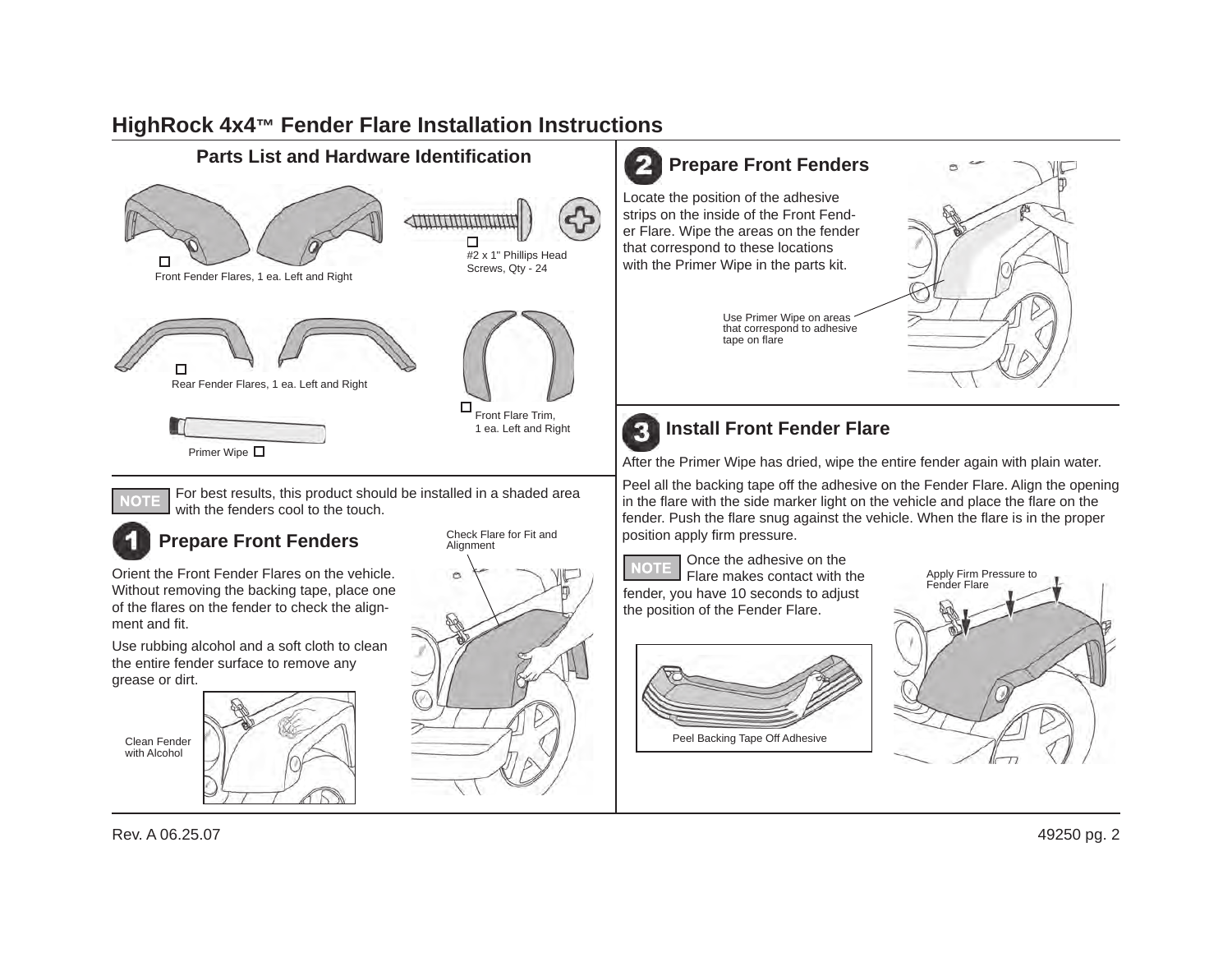## **HighRock 4x4™ Fender Flare Installation Instructions**



Peel Backing Tape Off Adhesive

Clean Fender with Alcohol

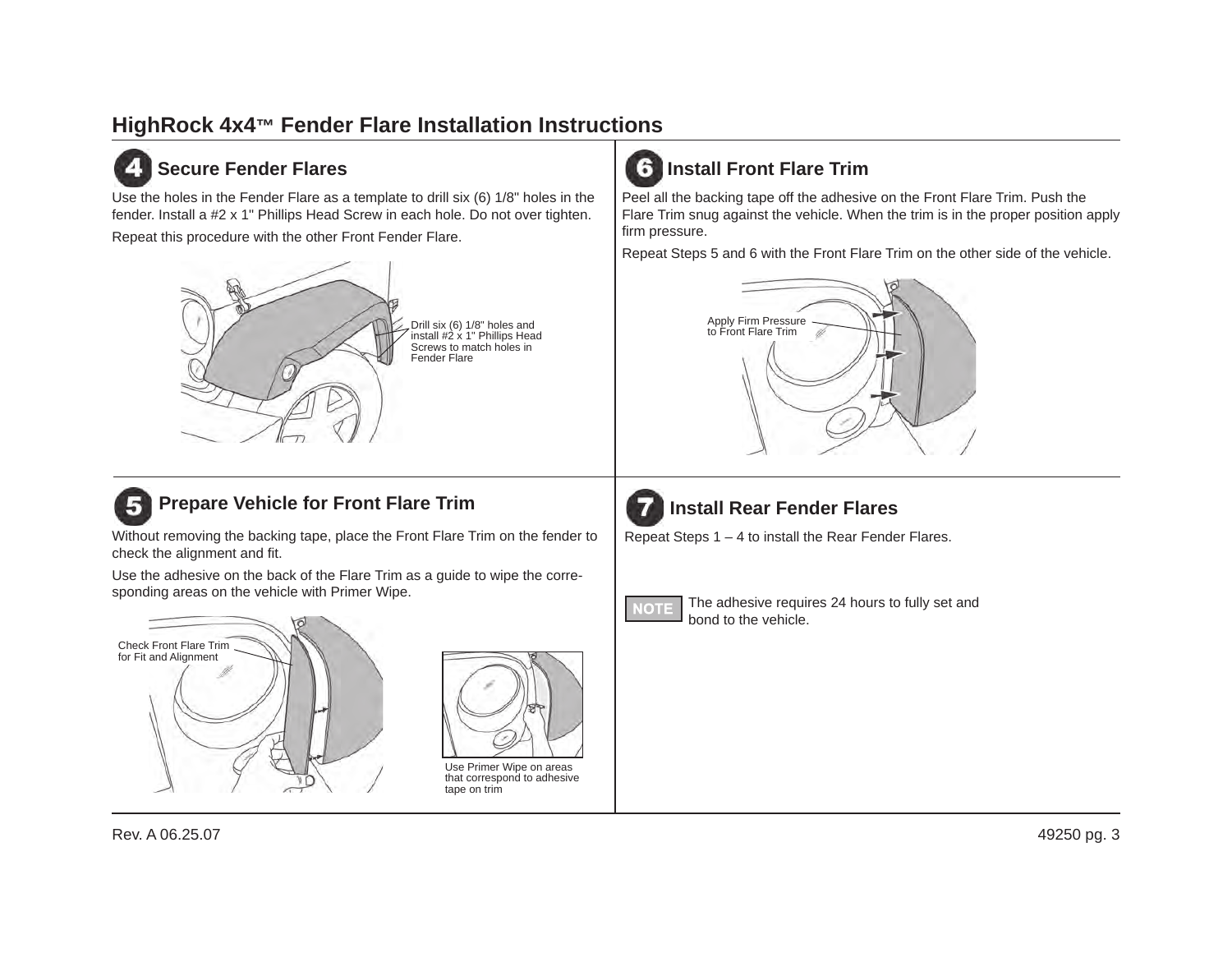### **HighRock 4x4™ Fender Flare Installation Instructions**

#### **Secure Fender Flares**

Use the holes in the Fender Flare as a template to drill six (6) 1/8" holes in the fender. Install a #2 x 1" Phillips Head Screw in each hole. Do not over tighten.

Repeat this procedure with the other Front Fender Flare.



#### **Prepare Vehicle for Front Flare Trim** 51

Without removing the backing tape, place the Front Flare Trim on the fender to check the alignment and fit.

Use the adhesive on the back of the Flare Trim as a guide to wipe the corresponding areas on the vehicle with Primer Wipe.





Use Primer Wipe on areas that correspond to adhesive tape on trim



Peel all the backing tape off the adhesive on the Front Flare Trim. Push the Flare Trim snug against the vehicle. When the trim is in the proper position apply firm pressure.

Repeat Steps 5 and 6 with the Front Flare Trim on the other side of the vehicle.





#### **Install Rear Fender Flares**

Repeat Steps 1 – 4 to install the Rear Fender Flares.



The adhesive requires 24 hours to fully set and bond to the vehicle.